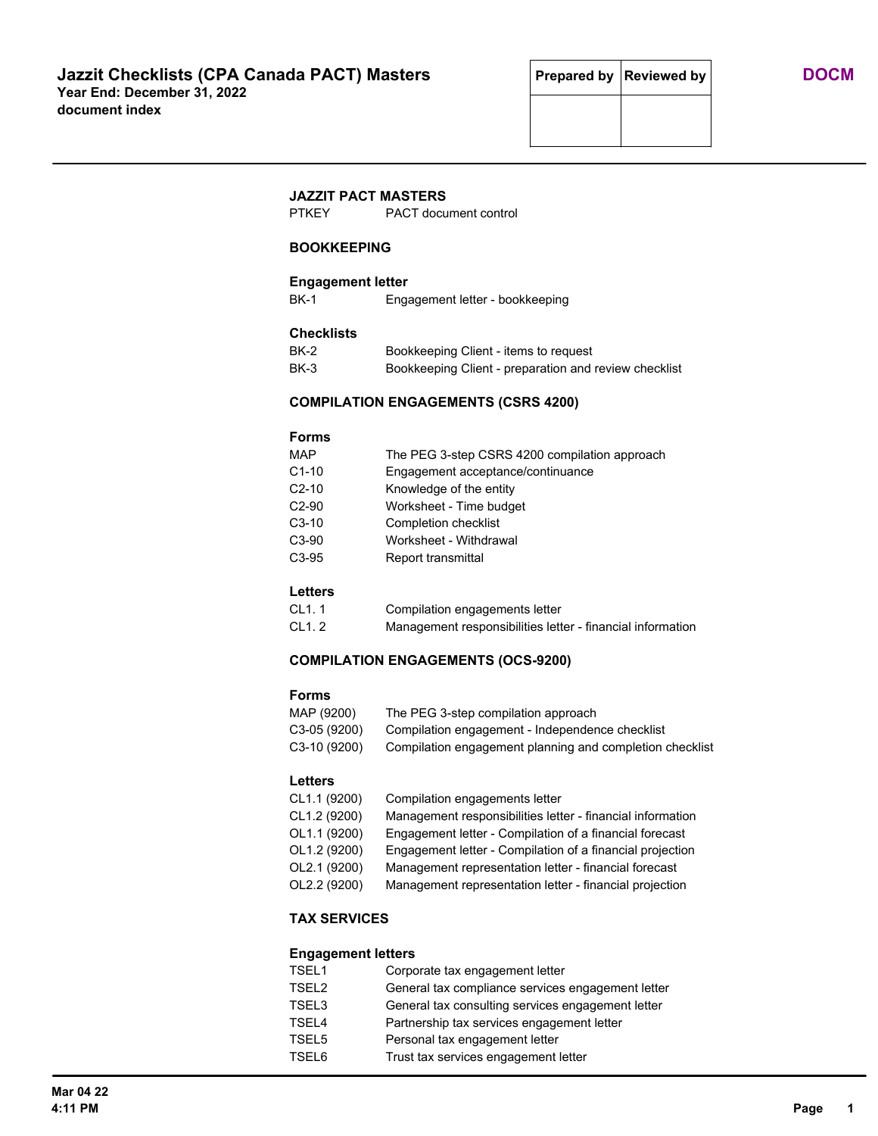# **JAZZIT PACT MASTERS**

PTKEY PACT document control

## **BOOKKEEPING**

## **Engagement letter**

BK-1 Engagement letter - bookkeeping

## **Checklists**

| <b>BK-2</b> | Bookkeeping Client - items to request                 |
|-------------|-------------------------------------------------------|
| BK-3        | Bookkeeping Client - preparation and review checklist |

## **COMPILATION ENGAGEMENTS (CSRS 4200)**

#### **Forms**

| The PEG 3-step CSRS 4200 compilation approach |
|-----------------------------------------------|
| Engagement acceptance/continuance             |
| Knowledge of the entity                       |
| Worksheet - Time budget                       |
| Completion checklist                          |
| Worksheet - Withdrawal                        |
| Report transmittal                            |
|                                               |

## **Letters**

| CL1.1  | Compilation engagements letter                             |
|--------|------------------------------------------------------------|
| CL1. 2 | Management responsibilities letter - financial information |

### **COMPILATION ENGAGEMENTS (OCS-9200)**

#### **Forms**

| MAP (9200)   | The PEG 3-step compilation approach                      |
|--------------|----------------------------------------------------------|
| C3-05 (9200) | Compilation engagement - Independence checklist          |
| C3-10 (9200) | Compilation engagement planning and completion checklist |

# **Letters**

| CL1.1 (9200) | Compilation engagements letter                             |  |
|--------------|------------------------------------------------------------|--|
| CL1.2 (9200) | Management responsibilities letter - financial information |  |
| OL1.1 (9200) | Engagement letter - Compilation of a financial forecast    |  |
| OL1.2 (9200) | Engagement letter - Compilation of a financial projection  |  |
| OL2.1 (9200) | Management representation letter - financial forecast      |  |
| OL2.2 (9200) | Management representation letter - financial projection    |  |

# **TAX SERVICES**

### **Engagement letters**

| TSEL1             | Corporate tax engagement letter                   |
|-------------------|---------------------------------------------------|
| TSEL <sub>2</sub> | General tax compliance services engagement letter |
| TSEL3             | General tax consulting services engagement letter |
| TSEL4             | Partnership tax services engagement letter        |
| TSEL5             | Personal tax engagement letter                    |
| TSEL6             | Trust tax services engagement letter              |